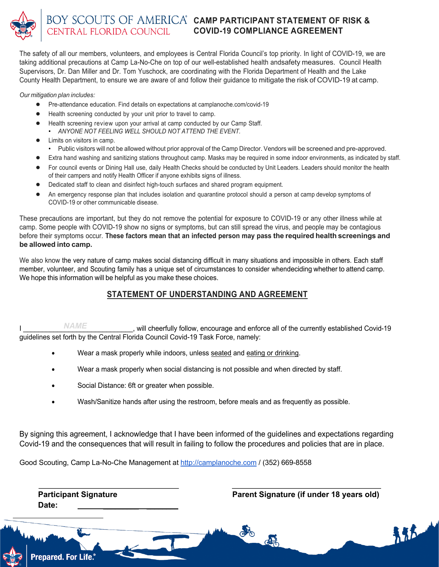

## **BOY SCOUTS OF AMERICA® CAMP PARTICIPANT STATEMENT OF RISK &** CENTRAL FLORIDA COUNCIL **COVID-19 COMPLIANCE AGREEMENT**

The safety of all our members, volunteers, and employees is Central Florida Council's top priority. In light of COVID-19, we are taking additional precautions at Camp La-No-Che on top of our well-established health andsafety measures. Council Health Supervisors, Dr. Dan Miller and Dr. Tom Yuschock, are coordinating with the Florida Department of Health and the Lake County Health Department, to ensure we are aware of and follow their guidance to mitigate the risk of COVID-19 at camp.

*Our mitigation plan includes:*

- Pre-attendance education. Find details on expectations at camplanoche.com/covid-19
- Health screening conducted by your unit prior to travel to camp.
- Health screening review upon your arrival at camp conducted by our Camp Staff. • *ANYONE NOT FEELING WELL SHOULD NOT ATTEND THE EVENT.*
- Limits on visitors in camp.
- Public visitors will not be allowed without prior approval of the Camp Director. Vendors will be screened and pre-approved.
- Extra hand washing and sanitizing stations throughout camp. Masks may be required in some indoor environments, as indicated by staff.
- For council events or Dining Hall use, daily Health Checks should be conducted by Unit Leaders. Leaders should monitor the health of their campers and notify Health Officer if anyone exhibits signs of illness.
- Dedicated staff to clean and disinfect high-touch surfaces and shared program equipment.
- An emergency response plan that includes isolation and quarantine protocol should a person at camp develop symptoms of COVID-19 or other communicable disease.

These precautions are important, but they do not remove the potential for exposure to COVID-19 or any other illness while at camp. Some people with COVID-19 show no signs or symptoms, but can still spread the virus, and people may be contagious before their symptoms occur. **These factors mean that an infected person may pass the required health screenings and be allowed into camp.**

We also know the very nature of camp makes social distancing difficult in many situations and impossible in others. Each staff member, volunteer, and Scouting family has a unique set of circumstances to consider whendeciding whether to attend camp. We hope this information will be helpful as you make these choices.

## **STATEMENT OF UNDERSTANDING AND AGREEMENT**

I \_\_\_\_\_\_\_\_\_\_\_\_\_\_\_\_\_\_\_\_\_\_\_\_\_\_\_\_\_, will cheerfully follow, encourage and enforce all of the currently established Covid-19 guidelines set forth by the Central Florida Council Covid-19 Task Force, namely: *NAME*

- Wear a mask properly while indoors, unless seated and eating or drinking.
- Wear a mask properly when social distancing is not possible and when directed by staff.
- Social Distance: 6ft or greater when possible.
- Wash/Sanitize hands after using the restroom, before meals and as frequently as possible.

By signing this agreement, I acknowledge that I have been informed of the guidelines and expectations regarding Covid-19 and the consequences that will result in failing to follow the procedures and policies that are in place.

colo

Good Scouting, Camp La-No-Che Management at http://camplanoche.com / (352) 669-8558

 $\blacksquare$ 

**Date: \_\_\_\_\_\_\_\_\_ \_\_\_\_\_\_\_\_**

**Prepared. For Life.**®

**Participant Signature Parent Signature (if under 18 years old)**

195